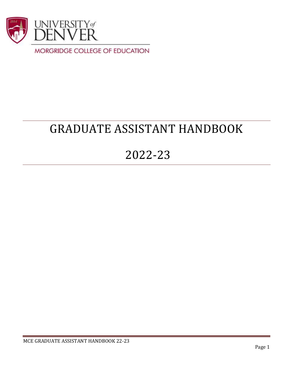

# GRADUATE ASSISTANT HANDBOOK

## 2022-23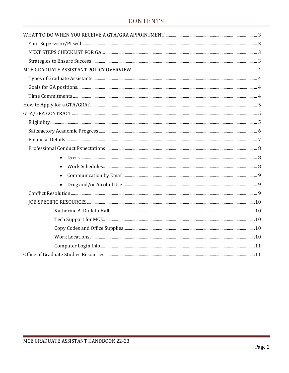## CONTENTS

| $\bullet$ |  |
|-----------|--|
| $\bullet$ |  |
| $\bullet$ |  |
| $\bullet$ |  |
|           |  |
|           |  |
|           |  |
|           |  |
|           |  |
|           |  |
|           |  |
|           |  |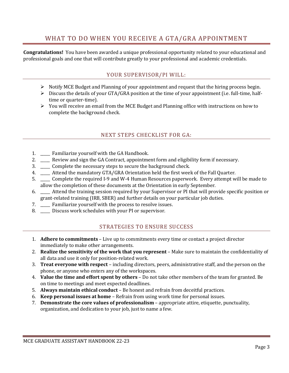## WHAT TO DO WHEN YOU RECEIVE A GTA/GRA APPOINTMENT

<span id="page-2-1"></span><span id="page-2-0"></span>**Congratulations!** You have been awarded a unique professional opportunity related to your educational and professional goals and one that will contribute greatly to your professional and academic credentials.

## YOUR SUPERVISOR/PI WILL:

- $\triangleright$  Notify MCE Budget and Planning of your appointment and request that the hiring process begin.
- ➢ Discuss the details of your GTA/GRA position at the time of your appointment (i.e. full-time, halftime or quarter-time).
- ➢ You will receive an email from the MCE Budget and Planning office with instructions on how to complete the background check.

## NEXT STEPS CHECKLIST FOR GA:

- <span id="page-2-2"></span>1. \_\_\_\_\_ Familiarize yourself with the GA Handbook.
- 2. \_\_\_\_\_ Review and sign the GA Contract, appointment form and eligibility form if necessary.
- 3. \_\_\_\_\_ Complete the necessary steps to secure the background check.
- 4. \_\_\_\_ Attend the mandatory GTA/GRA Orientation held the first week of the Fall Quarter.
- 5. \_\_\_\_\_ Complete the required I-9 and W-4 Human Resources paperwork. Every attempt will be made to allow the completion of these documents at the Orientation in early September.
- 6. \_\_\_\_\_ Attend the training session required by your Supervisor or PI that will provide specific position or grant-related training (IRB, SBER) and further details on your particular job duties.
- 7. \_\_\_\_\_ Familiarize yourself with the process to resolve issues.
- <span id="page-2-3"></span>8. \_\_\_\_\_ Discuss work schedules with your PI or supervisor.

## STRATEGIES TO ENSURE SUCCESS

- 1. **Adhere to commitments** Live up to commitments every time or contact a project director immediately to make other arrangements.
- 2. **Realize the sensitivity of the work that you represent** Make sure to maintain the confidentiality of all data and use it only for position-related work.
- 3. **Treat everyone with respect** including directors, peers, administrative staff, and the person on the phone, or anyone who enters any of the workspaces.
- 4. **Value the time and effort spent by others** Do not take other members of the team for granted. Be on time to meetings and meet expected deadlines.
- 5. **Always maintain ethical conduct** Be honest and refrain from deceitful practices.
- 6. **Keep personal issues at home** Refrain from using work time for personal issues.
- 7. **Demonstrate the core values of professionalism** appropriate attire, etiquette, punctuality, organization, and dedication to your job, just to name a few.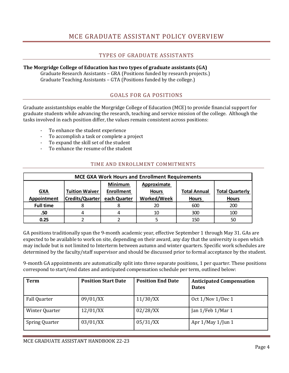## MCE GRADUATE ASSISTANT POLICY OVERVIEW

## TYPES OF GRADUATE ASSISTANTS

## <span id="page-3-1"></span><span id="page-3-0"></span>**The Morgridge College of Education has two types of graduate assistants (GA)**

Graduate Research Assistants – GRA (Positions funded by research projects.) Graduate Teaching Assistants – GTA (Positions funded by the college.)

## GOALS FOR GA POSITIONS

<span id="page-3-2"></span>Graduate assistantships enable the Morgridge College of Education (MCE) to provide financial support for graduate students while advancing the research, teaching and service mission of the college. Although the tasks involved in each position differ, the values remain consistent across positions:

- To enhance the student experience
- To accomplish a task or complete a project
- To expand the skill set of the student
- To enhance the resume of the student

### TIME AND ENROLLMENT COMMITMENTS

<span id="page-3-3"></span>

| <b>MCE GXA Work Hours and Enrollment Requirements</b> |                        |                   |                    |                     |                        |
|-------------------------------------------------------|------------------------|-------------------|--------------------|---------------------|------------------------|
|                                                       |                        | <b>Minimum</b>    | Approximate        |                     |                        |
| <u>GXA</u>                                            | <b>Tuition Waiver</b>  | <b>Enrollment</b> | <b>Hours</b>       | <b>Total Annual</b> | <b>Total Quarterly</b> |
| Appointment                                           | <b>Credits/Quarter</b> | each Quarter      | <b>Worked/Week</b> | <b>Hours</b>        | <b>Hours</b>           |
|                                                       |                        |                   |                    |                     |                        |
| <b>Full time</b>                                      |                        |                   | 20                 | 600                 | 200                    |
| .50                                                   |                        |                   | 10                 | 300                 | 100                    |

GA positions traditionally span the 9-month academic year, effective September 1 through May 31. GAs are expected to be available to work on site, depending on their award, any day that the university is open which may include but is not limited to Interterm between autumn and winter quarters. Specific work schedules are determined by the faculty/staff supervisor and should be discussed prior to formal acceptance by the student.

9-month GA appointments are automatically split into three separate positions, 1 per quarter. These positions correspond to start/end dates and anticipated compensation schedule per term, outlined below:

| <b>Term</b>    | <b>Position Start Date</b> | <b>Position End Date</b> | <b>Anticipated Compensation</b><br><b>Dates</b> |
|----------------|----------------------------|--------------------------|-------------------------------------------------|
| Fall Quarter   | 09/01/XX                   | 11/30/XX                 | Oct 1/Nov 1/Dec 1                               |
| Winter Quarter | 12/01/XX                   | 02/28/XX                 | Jan 1/Feb 1/Mar 1                               |
| Spring Quarter | 03/01/XX                   | 05/31/XX                 | Apr $1/May 1/$ Jun 1                            |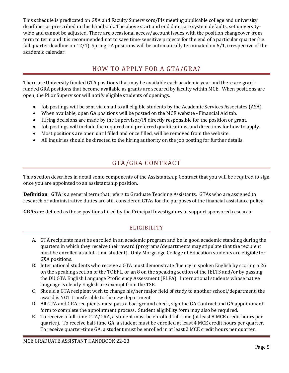This schedule is predicated on GXA and Faculty Supervisors/PIs meeting applicable college and university deadlines as prescribed in this handbook. The above start and end dates are system defaults, set universitywide and cannot be adjusted. There are occasional access/account issues with the position changeover from term to term and it is recommended not to save time-sensitive projects for the end of a particular quarter (i.e. fall quarter deadline on 12/1). Spring GA positions will be automatically terminated on 6/1, irrespective of the academic calendar.

## HOW TO APPLY FOR A GTA/GRA?

<span id="page-4-0"></span>There are University funded GTA positions that may be available each academic year and there are grantfunded GRA positions that become available as grants are secured by faculty within MCE. When positions are open, the PI or Supervisor will notify eligible students of openings.

- Job postings will be sent via email to all eligible students by the Academic Services Associates (ASA).
- When available, open GA positions will be posted on the MCE website Financial Aid tab.
- Hiring decisions are made by the Supervisor/PI directly responsible for the position or grant.
- Job postings will include the required and preferred qualifications, and directions for how to apply.
- Most positions are open until filled and once filled, will be removed from the website.
- All inquiries should be directed to the hiring authority on the job posting for further details.

## GTA/GRA CONTRACT

<span id="page-4-1"></span>This section describes in detail some components of the Assistantship Contract that you will be required to sign once you are appointed to an assistantship position.

**Definition**: **GTA** is a general term that refers to Graduate Teaching Assistants. GTAs who are assigned to research or administrative duties are still considered GTAs for the purposes of the financial assistance policy.

<span id="page-4-2"></span>**GRAs** are defined as those positions hired by the Principal Investigators to support sponsored research.

## ELIGIBILITY

- A. GTA recipients must be enrolled in an academic program and be in good academic standing during the quarters in which they receive their award (programs/departments may stipulate that the recipient must be enrolled as a full-time student). Only Morgridge College of Education students are eligible for GXA positions.
- B. International students who receive a GTA must demonstrate fluency in spoken English by scoring a 26 on the speaking section of the TOEFL, or an 8 on the speaking section of the IELTS and/or by passing the DU GTA English Language Proficiency Assessment (ELPA). International students whose native language is clearly English are exempt from the TSE.
- C. Should a GTA recipient wish to change his/her major field of study to another school/department, the award is NOT transferable to the new department.
- D. All GTA and GRA recipients must pass a background check, sign the GA Contract and GA appointment form to complete the appointment process. Student eligibility form may also be required.
- E. To receive a full-time GTA/GRA, a student must be enrolled full-time (at least 8 MCE credit hours per quarter). To receive half-time GA, a student must be enrolled at least 4 MCE credit hours per quarter. To receive quarter-time GA, a student must be enrolled in at least 2 MCE credit hours per quarter.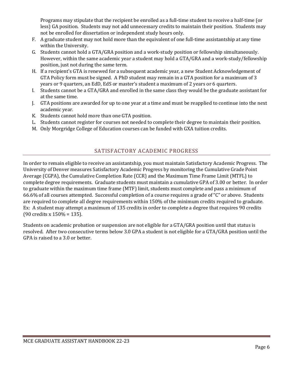Programs may stipulate that the recipient be enrolled as a full-time student to receive a half-time (or less) GA position. Students may not add unnecessary credits to maintain their position. Students may not be enrolled for dissertation or independent study hours only.

- F. A graduate student may not hold more than the equivalent of one full-time assistantship at any time within the University.
- G. Students cannot hold a GTA/GRA position and a work-study position or fellowship simultaneously. However, within the same academic year a student may hold a GTA/GRA and a work-study/fellowship position, just not during the same term.
- H. If a recipient's GTA is renewed for a subsequent academic year, a new Student Acknowledgement of GTA Policy form must be signed. A PhD student may remain in a GTA position for a maximum of 3 years or 9 quarters, an EdD, EdS or master's student a maximum of 2 years or 6 quarters.
- I. Students cannot be a GTA/GRA and enrolled in the same class they would be the graduate assistant for at the same time.
- J. GTA positions are awarded for up to one year at a time and must be reapplied to continue into the next academic year.
- K. Students cannot hold more than one GTA position.
- L. Students cannot register for courses not needed to complete their degree to maintain their position.
- M. Only Morgridge College of Education courses can be funded with GXA tuition credits.

### SATISFACTORY ACADEMIC PROGRESS

<span id="page-5-0"></span>In order to remain eligible to receive an assistantship, you must maintain Satisfactory Academic Progress. The University of Denver measures Satisfactory Academic Progress by monitoring the Cumulative Grade Point Average (CGPA), the Cumulative Completion Rate (CCR) and the Maximum Time Frame Limit (MTFL) to complete degree requirements. Graduate students must maintain a cumulative GPA of 3.00 or better. In order to graduate within the maximum time frame (MTF) limit, students must complete and pass a minimum of 66.6% of all courses attempted. Successful completion of a course requires a grade of "C" or above. Students are required to complete all degree requirements within 150% of the minimum credits required to graduate. Ex: A student may attempt a maximum of 135 credits in order to complete a degree that requires 90 credits (90 credits x 150% = 135).

Students on academic probation or suspension are not eligible for a GTA/GRA position until that status is resolved. After two consecutive terms below 3.0 GPA a student is not eligible for a GTA/GRA position until the GPA is raised to a 3.0 or better.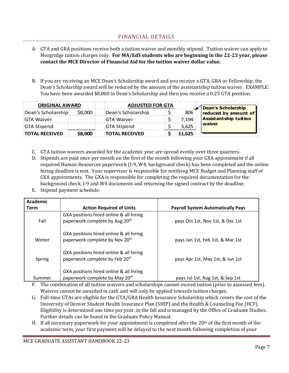## FINANCIAL DETAILS

- <span id="page-6-0"></span>A. GTA and GRA positions receive both a tuition waiver and monthly stipend. Tuition waiver can apply to Morgridge tuition charges only. **For MA/EdS students who are beginning in the 22-23 year, please contact the MCE Director of Financial Aid for the tuition waiver dollar value.**
- B. If you are receiving an MCE Dean's Scholarship award and you receive a GTA, GRA or Fellowship, the Dean's Scholarship award will be reduced by the amount of the assistantship tuition waiver. EXAMPLE: You have been awarded \$8,000 in Dean's Scholarship and then you receive a 0.25 GTA position.

| <b>ORIGINAL AWARD</b> |         | <b>ADJUSTED FOR GTA</b> |  | <b>Dean's Scholarship</b> |                              |
|-----------------------|---------|-------------------------|--|---------------------------|------------------------------|
| Dean's Scholarship    | \$8,000 | Dean's Scholarship      |  | 806                       | reduced by amount of         |
| <b>GTA Waiver</b>     |         | <b>GTA Waiver</b>       |  | 7,194                     | <b>Assistantship tuition</b> |
| <b>GTA Stipend</b>    |         | <b>GTA Stipend</b>      |  | 3,625                     | waiver                       |
| <b>TOTAL RECEIVED</b> | \$8,000 | <b>TOTAL RECEIVED</b>   |  | 11,625                    |                              |

- C. GTA tuition waivers awarded for the academic year are spread evenly over three quarters.
- D. Stipends are paid once per month on the first of the month following your GXA appointment if all required Human Resources paperwork (I-9, W4, background check) has been completed and the online hiring deadline is met. Your supervisor is responsible for notifying MCE Budget and Planning staff of GXA appointments. The GXA is responsible for completing the required documentation for the background check, I-9 and W4 documents and returning the signed contract by the deadline.
- E. Stipend payment schedule:

| Academic |                                                                                       |                                          |
|----------|---------------------------------------------------------------------------------------|------------------------------------------|
| Term     | <b>Action Required of Units</b>                                                       | <b>Payroll System Automatically Pays</b> |
| Fall     | GXA positions hired online & all hiring<br>paperwork complete by Aug 20 <sup>th</sup> | pays Oct 1st, Nov 1st, & Dec 1st         |
| Winter   | GXA positions hired online & all hiring<br>paperwork complete by Nov 20 <sup>th</sup> | pays Jan 1st, Feb 1st, & Mar 1st         |
| Spring   | GXA positions hired online & all hiring<br>paperwork complete by Feb 20 <sup>th</sup> | pays Apr 1st, May 1st, & Jun 1st         |
| Summer   | GXA positions hired online & all hiring<br>paperwork complete by May 20 <sup>th</sup> | pays Jul 1st, Aug 1st, & Sep 1st         |

- F. The combination of all tuition waivers and scholarships cannot exceed tuition (prior to assessed fees). Waivers cannot be awarded in cash and will only be applied towards tuition charges.
- G. Full-time GTAs are eligible for the GTA/GRA Health Insurance Scholarship which covers the cost of the University of Denver Student Health Insurance Plan (SHIP) and the Health & Counseling Fee (HCF). Eligibility is determined one time per year, in the fall and is managed by the Office of Graduate Studies. Further details can be found in the Graduate Policy Manual.
- H. If all necessary paperwork for your appointment is completed after the  $20<sup>th</sup>$  of the first month of the academic term, your first payment will be delayed to the next month following completion of your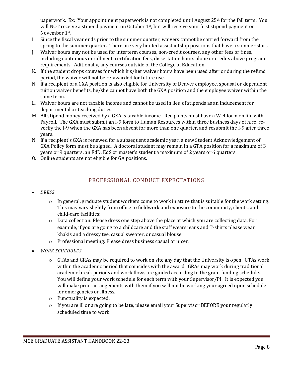paperwork. Ex: Your appointment paperwork is not completed until August  $25<sup>th</sup>$  for the fall term. You will NOT receive a stipend payment on October 1st, but will receive your first stipend payment on November 1st .

- I. Since the fiscal year ends prior to the summer quarter, waivers cannot be carried forward from the spring to the summer quarter. There are very limited assistantship positions that have a summer start.
- J. Waiver hours may not be used for interterm courses, non-credit courses, any other fees or fines, including continuous enrollment, certification fees, dissertation hours alone or credits above program requirements. Aditionally, any courses outside of the College of Education.
- K. If the student drops courses for which his/her waiver hours have been used after or during the refund period, the waiver will not be re-awarded for future use.
- N. If a recipient of a GXA position is also eligible for University of Denver employee, spousal or dependent tuition waiver benefits, he/she cannot have both the GXA position and the employee waiver within the same term.
- L. Waiver hours are not taxable income and cannot be used in lieu of stipends as an inducement for departmental or teaching duties.
- M. All stipend money received by a GXA is taxable income. Recipients must have a W-4 form on file with Payroll. The GXA must submit an I-9 form to Human Resources within three business days of hire, reverify the I-9 when the GXA has been absent for more than one quarter, and resubmit the I-9 after three years.
- N. If a recipient's GXA is renewed for a subsequent academic year, a new Student Acknowledgement of GXA Policy form must be signed. A doctoral student may remain in a GTA position for a maximum of 3 years or 9 quarters, an EdD, EdS or master's student a maximum of 2 years or 6 quarters.
- <span id="page-7-0"></span>O. Online students are not eligible for GA positions.

## PROFESSIONAL CONDUCT EXPECTATIONS

- <span id="page-7-1"></span>• *DRESS*
	- $\circ$  In general, graduate student workers come to work in attire that is suitable for the work setting. This may vary slightly from office to fieldwork and exposure to the community, clients, and child-care facilities:
	- o Data collection: Please dress one step above the place at which you are collecting data. For example, if you are going to a childcare and the staff wears jeans and T-shirts please wear khakis and a dressy tee, casual sweater, or casual blouse.
	- o Professional meeting: Please dress business casual or nicer.
- <span id="page-7-2"></span>• *WORK SCHEDULES*
	- o GTAs and GRAs may be required to work on site any day that the University is open. GTAs work within the academic period that coincides with the award. GRAs may work during traditional academic break periods and work flows are guided according to the grant funding schedule. You will define your work schedule for each term with your Supervisor/PI. It is expected you will make prior arrangements with them if you will not be working your agreed upon schedule for emergencies or illness.
	- o Punctuality is expected.
	- $\circ$  If you are ill or are going to be late, please email your Supervisor BEFORE your regularly scheduled time to work.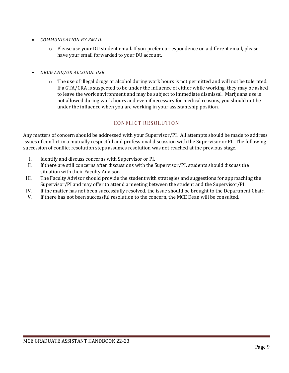- <span id="page-8-0"></span>• *COMMUNICATION BY EMAIL*
	- o Please use your DU student email. If you prefer correspondence on a different email, please have your email forwarded to your DU account.
- <span id="page-8-1"></span>• *DRUG AND/OR ALCOHOL USE*
	- o The use of illegal drugs or alcohol during work hours is not permitted and will not be tolerated. If a GTA/GRA is suspected to be under the influence of either while working, they may be asked to leave the work environment and may be subject to immediate dismissal. Marijuana use is not allowed during work hours and even if necessary for medical reasons, you should not be under the influence when you are working in your assistantship position.

#### CONFLICT RESOLUTION

<span id="page-8-2"></span>Any matters of concern should be addressed with your Supervisor/PI. All attempts should be made to address issues of conflict in a mutually respectful and professional discussion with the Supervisor or PI. The following succession of conflict resolution steps assumes resolution was not reached at the previous stage.

- I. Identify and discuss concerns with Supervisor or PI.
- II. If there are still concerns after discussions with the Supervisor/PI, students should discuss the situation with their Faculty Advisor.
- III. The Faculty Advisor should provide the student with strategies and suggestions for approaching the Supervisor/PI and may offer to attend a meeting between the student and the Supervisor/PI.
- IV. If the matter has not been successfully resolved, the issue should be brought to the Department Chair.
- V. If there has not been successful resolution to the concern, the MCE Dean will be consulted.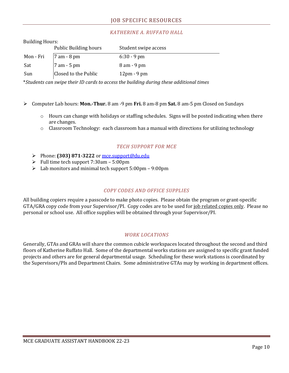## *KATHERINE A. RUFFATO HALL*

<span id="page-9-1"></span><span id="page-9-0"></span>

| <b>Building Hours:</b> |                              |                              |  |
|------------------------|------------------------------|------------------------------|--|
|                        | <b>Public Building hours</b> | Student swipe access         |  |
| Mon - Fri              | $7$ am - 8 pm                | $6:30 - 9$ pm                |  |
| Sat                    | $7$ am - 5 pm                | $8$ am $-9$ pm               |  |
| Sun                    | Closed to the Public         | $12 \text{pm} - 9 \text{pm}$ |  |

\**Students can swipe their ID cards to access the building during these additional times*

- ➢ Computer Lab hours: **Mon.-Thur.** 8 am -9 pm **Fri.** 8 am-8 pm **Sat.** 8 am-5 pm Closed on Sundays
	- o Hours can change with holidays or staffing schedules. Signs will be posted indicating when there are changes.
	- o Classroom Technology: each classroom has a manual with directions for utilizing technology

### *TECH SUPPORT FOR MCE*

- <span id="page-9-2"></span>➢ Phone: **(303) 871-3222** or [mce.support@du.edu](mailto:mce.support@du.edu)
- ➢ Full time tech support 7:30am 5:00pm
- ➢ Lab monitors and minimal tech support 5:00pm 9:00pm

#### *COPY CODES AND OFFICE SUPPLIES*

<span id="page-9-3"></span>All building copiers require a passcode to make photo copies. Please obtain the program or grant-specific GTA/GRA copy code from your Supervisor/PI. Copy codes are to be used for job related copies only. Please no personal or school use. All office supplies will be obtained through your Supervisor/PI.

#### *WORK LOCATIONS*

<span id="page-9-4"></span>Generally, GTAs and GRAs will share the common cubicle workspaces located throughout the second and third floors of Katherine Ruffato Hall. Some of the departmental works stations are assigned to specific grant funded projects and others are for general departmental usage. Scheduling for these work stations is coordinated by the Supervisors/PIs and Department Chairs. Some administrative GTAs may by working in department offices.